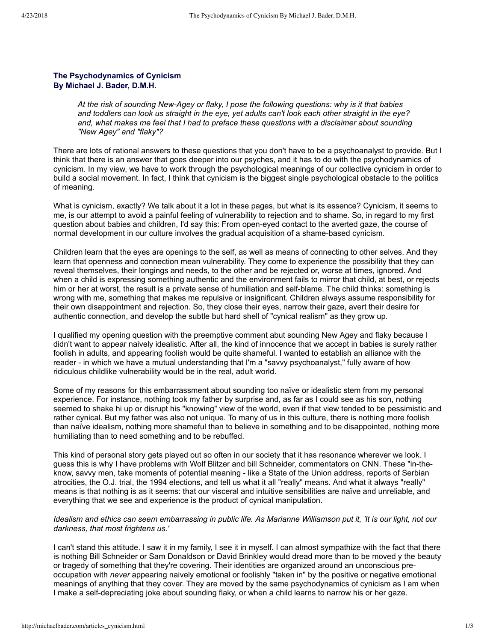## **The Psychodynamics of Cynicism By Michael J. Bader, D.M.H.**

*At the risk of sounding NewAgey or flaky, I pose the following questions: why is it that babies and toddlers can look us straight in the eye, yet adults can't look each other straight in the eye? and, what makes me feel that I had to preface these questions with a disclaimer about sounding "New Agey" and "flaky"?*

There are lots of rational answers to these questions that you don't have to be a psychoanalyst to provide. But I think that there is an answer that goes deeper into our psyches, and it has to do with the psychodynamics of cynicism. In my view, we have to work through the psychological meanings of our collective cynicism in order to build a social movement. In fact, I think that cynicism is the biggest single psychological obstacle to the politics of meaning.

What is cynicism, exactly? We talk about it a lot in these pages, but what is its essence? Cynicism, it seems to me, is our attempt to avoid a painful feeling of vulnerability to rejection and to shame. So, in regard to my first question about babies and children, I'd say this: From open-eyed contact to the averted gaze, the course of normal development in our culture involves the gradual acquisition of a shame-based cynicism.

Children learn that the eyes are openings to the self, as well as means of connecting to other selves. And they learn that openness and connection mean vulnerability. They come to experience the possibility that they can reveal themselves, their longings and needs, to the other and be rejected or, worse at times, ignored. And when a child is expressing something authentic and the environment fails to mirror that child, at best, or rejects him or her at worst, the result is a private sense of humiliation and self-blame. The child thinks: something is wrong with me, something that makes me repulsive or insignificant. Children always assume responsibility for their own disappointment and rejection. So, they close their eyes, narrow their gaze, avert their desire for authentic connection, and develop the subtle but hard shell of "cynical realism" as they grow up.

I qualified my opening question with the preemptive comment abut sounding New Agey and flaky because I didn't want to appear naively idealistic. After all, the kind of innocence that we accept in babies is surely rather foolish in adults, and appearing foolish would be quite shameful. I wanted to establish an alliance with the reader - in which we have a mutual understanding that I'm a "savvy psychoanalyst," fully aware of how ridiculous childlike vulnerability would be in the real, adult world.

Some of my reasons for this embarrassment about sounding too naïve or idealistic stem from my personal experience. For instance, nothing took my father by surprise and, as far as I could see as his son, nothing seemed to shake hi up or disrupt his "knowing" view of the world, even if that view tended to be pessimistic and rather cynical. But my father was also not unique. To many of us in this culture, there is nothing more foolish than naïve idealism, nothing more shameful than to believe in something and to be disappointed, nothing more humiliating than to need something and to be rebuffed.

This kind of personal story gets played out so often in our society that it has resonance wherever we look. I guess this is why I have problems with Wolf Blitzer and bill Schneider, commentators on CNN. These "in-theknow, savvy men, take moments of potential meaning - like a State of the Union address, reports of Serbian atrocities, the O.J. trial, the 1994 elections, and tell us what it all "really" means. And what it always "really" means is that nothing is as it seems: that our visceral and intuitive sensibilities are naïve and unreliable, and everything that we see and experience is the product of cynical manipulation.

## *Idealism and ethics can seem embarrassing in public life. As Marianne Williamson put it, 'It is our light, not our darkness, that most frightens us.'*

I can't stand this attitude. I saw it in my family, I see it in myself. I can almost sympathize with the fact that there is nothing Bill Schneider or Sam Donaldson or David Brinkley would dread more than to be moved y the beauty or tragedy of something that they're covering. Their identities are organized around an unconscious preoccupation with *never* appearing naively emotional or foolishly "taken in" by the positive or negative emotional meanings of anything that they cover. They are moved by the same psychodynamics of cynicism as I am when I make a self-depreciating joke about sounding flaky, or when a child learns to narrow his or her gaze.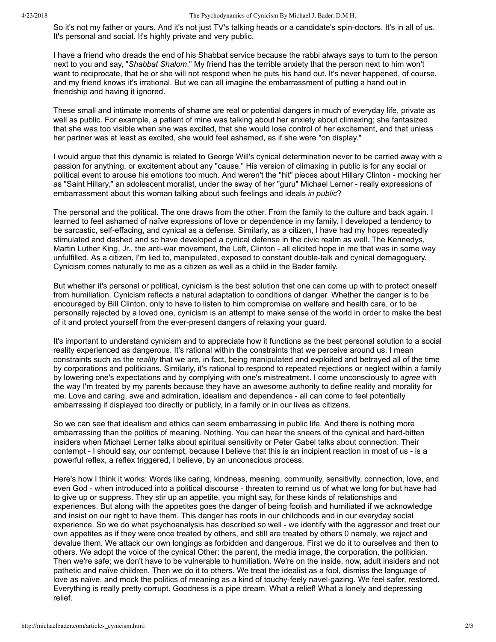## 4/23/2018 The Psychodynamics of Cynicism By Michael J. Bader, D.M.H.

So it's not my father or yours. And it's not just TV's talking heads or a candidate's spin-doctors. It's in all of us. It's personal and social. It's highly private and very public.

I have a friend who dreads the end of his Shabbat service because the rabbi always says to turn to the person next to you and say, "*Shabbat Shalom*." My friend has the terrible anxiety that the person next to him won't want to reciprocate, that he or she will not respond when he puts his hand out. It's never happened, of course, and my friend knows it's irrational. But we can all imagine the embarrassment of putting a hand out in friendship and having it ignored.

These small and intimate moments of shame are real or potential dangers in much of everyday life, private as well as public. For example, a patient of mine was talking about her anxiety about climaxing; she fantasized that she was too visible when she was excited, that she would lose control of her excitement, and that unless her partner was at least as excited, she would feel ashamed, as if she were "on display."

I would argue that this dynamic is related to George Will's cynical determination never to be carried away with a passion for anything, or excitement about any "cause." His version of climaxing in public is for any social or political event to arouse his emotions too much. And weren't the "hit" pieces about Hillary Clinton mocking her as "Saint Hillary," an adolescent moralist, under the sway of her "guru" Michael Lerner really expressions of embarrassment about this woman talking about such feelings and ideals *in public*?

The personal and the political. The one draws from the other. From the family to the culture and back again. I learned to feel ashamed of naïve expressions of love or dependence in my family. I developed a tendency to be sarcastic, selfeffacing, and cynical as a defense. Similarly, as a citizen, I have had my hopes repeatedly stimulated and dashed and so have developed a cynical defense in the civic realm as well. The Kennedys, Martin Luther King, Jr., the anti-war movement, the Left, Clinton - all elicited hope in me that was in some way unfulfilled. As a citizen, I'm lied to, manipulated, exposed to constant double-talk and cynical demagoguery. Cynicism comes naturally to me as a citizen as well as a child in the Bader family.

But whether it's personal or political, cynicism is the best solution that one can come up with to protect oneself from humiliation. Cynicism reflects a natural adaptation to conditions of danger. Whether the danger is to be encouraged by Bill Clinton, only to have to listen to him compromise on welfare and health care, or to be personally rejected by a loved one, cynicism is an attempt to make sense of the world in order to make the best of it and protect yourself from the ever-present dangers of relaxing your guard.

It's important to understand cynicism and to appreciate how it functions as the best personal solution to a social reality experienced as dangerous. It's rational within the constraints that we perceive around us. I mean constraints such as the r*eality* that we *are*, in fact, being manipulated and exploited and betrayed all of the time by corporations and politicians. Similarly, it's rational to respond to repeated rejections or neglect within a family by lowering one's expectations and by complying with one's mistreatment. I come unconsciously to *agree* with the way I'm treated by my parents because they have an awesome authority to define reality and morality for me. Love and caring, awe and admiration, idealism and dependence - all can come to feel potentially embarrassing if displayed too directly or publicly, in a family or in our lives as citizens.

So we can see that idealism and ethics can seem embarrassing in public life. And there is nothing more embarrassing than the politics of meaning. Nothing. You can hear the sneers of the cynical and hard-bitten insiders when Michael Lerner talks about spiritual sensitivity or Peter Gabel talks about connection. Their contempt - I should say, *our* contempt, because I believe that this is an incipient reaction in most of us - is a powerful reflex, a reflex triggered, I believe, by an unconscious process.

Here's how I think it works: Words like caring, kindness, meaning, community, sensitivity, connection, love, and even God - when introduced into a political discourse - threaten to remind us of what we long for but have had to give up or suppress. They stir up an appetite, you might say, for these kinds of relationships and experiences. But along with the appetites goes the danger of being foolish and humiliated if we acknowledge and insist on our right to have them. This danger has roots in our childhoods and in our everyday social experience. So we do what psychoanalysis has described so well we identify with the aggressor and treat our own appetites as if they were once treated by others, and still are treated by others 0 namely, we reject and devalue them. We attack our own longings as forbidden and dangerous. First we do it to ourselves and then to others. We adopt the voice of the cynical Other: the parent, the media image, the corporation, the politician. Then we're safe; we don't have to be vulnerable to humiliation. We're on the inside, now, adult insiders and not pathetic and naïve children. Then we do it to others. We treat the idealist as a fool, dismiss the language of love as naïve, and mock the politics of meaning as a kind of touchy-feely navel-gazing. We feel safer, restored. Everything is really pretty corrupt. Goodness is a pipe dream. What a relief! What a lonely and depressing relief.